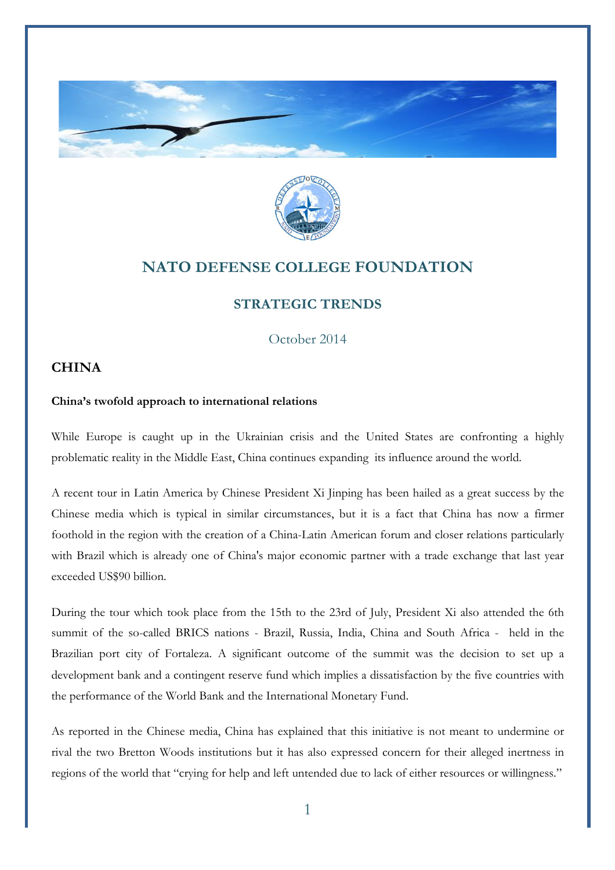



## **NATO DEFENSE COLLEGE FOUNDATION**

## **STRATEGIC TRENDS**

October 2014

## **CHINA**

## **China's twofold approach to international relations**

While Europe is caught up in the Ukrainian crisis and the United States are confronting a highly problematic reality in the Middle East, China continues expanding its influence around the world.

A recent tour in Latin America by Chinese President Xi Jinping has been hailed as a great success by the Chinese media which is typical in similar circumstances, but it is a fact that China has now a firmer foothold in the region with the creation of a China-Latin American forum and closer relations particularly with Brazil which is already one of China's major economic partner with a trade exchange that last year exceeded US\$90 billion.

During the tour which took place from the 15th to the 23rd of July, President Xi also attended the 6th summit of the so-called BRICS nations - Brazil, Russia, India, China and South Africa - held in the Brazilian port city of Fortaleza. A significant outcome of the summit was the decision to set up a development bank and a contingent reserve fund which implies a dissatisfaction by the five countries with the performance of the World Bank and the International Monetary Fund.

As reported in the Chinese media, China has explained that this initiative is not meant to undermine or rival the two Bretton Woods institutions but it has also expressed concern for their alleged inertness in regions of the world that "crying for help and left untended due to lack of either resources or willingness."